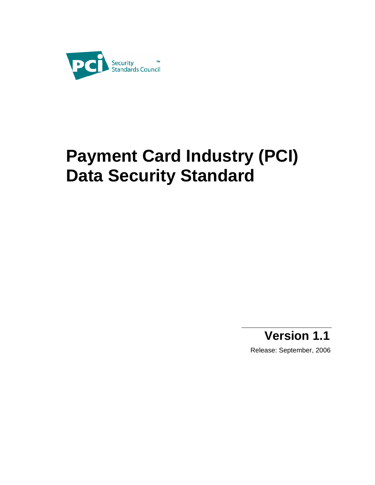

# **Payment Card Industry (PCI) Data Security Standard**

**Version 1.1** 

Release: September, 2006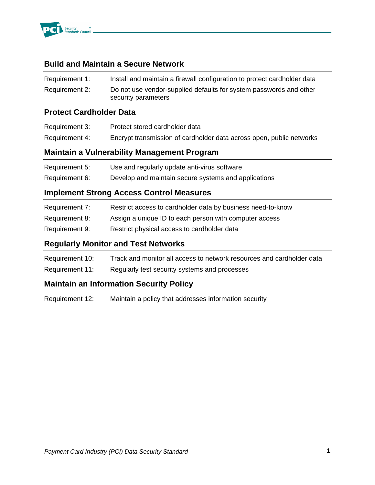

# **Build and Maintain a Secure Network**

| Requirement 1: | Install and maintain a firewall configuration to protect cardholder data |
|----------------|--------------------------------------------------------------------------|
| Requirement 2: | Do not use vendor-supplied defaults for system passwords and other       |
|                | security parameters                                                      |

# **Protect Cardholder Data**

| Requirement 3: | Protect stored cardholder data                                       |
|----------------|----------------------------------------------------------------------|
| Requirement 4: | Encrypt transmission of cardholder data across open, public networks |

# **Maintain a Vulnerability Management Program**

| Requirement 5: | Use and regularly update anti-virus software         |
|----------------|------------------------------------------------------|
| Requirement 6: | Develop and maintain secure systems and applications |

# **Implement Strong Access Control Measures**

| Requirement 7: |  | Restrict access to cardholder data by business need-to-know |
|----------------|--|-------------------------------------------------------------|
|----------------|--|-------------------------------------------------------------|

- Requirement 8: Assign a unique ID to each person with computer access
- Requirement 9: Restrict physical access to cardholder data

## **Regularly Monitor and Test Networks**

| Track and monitor all access to network resources and cardholder data<br>Requirement 10: |  |
|------------------------------------------------------------------------------------------|--|
|------------------------------------------------------------------------------------------|--|

Requirement 11: Regularly test security systems and processes

# **Maintain an Information Security Policy**

Requirement 12: Maintain a policy that addresses information security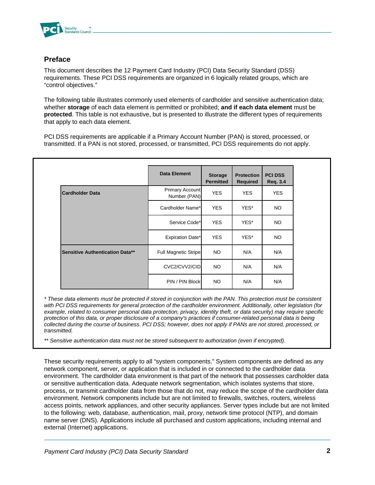

## **Preface**

This document describes the 12 Payment Card Industry (PCI) Data Security Standard (DSS) requirements. These PCI DSS requirements are organized in 6 logically related groups, which are "control objectives."

The following table illustrates commonly used elements of cardholder and sensitive authentication data; whether **storage** of each data element is permitted or prohibited; **and if each data element** must be **protected**. This table is not exhaustive, but is presented to illustrate the different types of requirements that apply to each data element.

PCI DSS requirements are applicable if a Primary Account Number (PAN) is stored, processed, or transmitted. If a PAN is not stored, processed, or transmitted, PCI DSS requirements do not apply.

|                                 | <b>Data Element</b>                    | <b>Storage</b><br><b>Permitted</b> | <b>Protection</b><br><b>Required</b> | <b>PCI DSS</b><br><b>Req. 3.4</b> |
|---------------------------------|----------------------------------------|------------------------------------|--------------------------------------|-----------------------------------|
| Cardholder Data                 | <b>Primary Account</b><br>Number (PAN) | <b>YES</b>                         | <b>YES</b>                           | <b>YES</b>                        |
|                                 | Cardholder Name*                       | <b>YES</b>                         | YES*                                 | NO.                               |
|                                 | Service Code*                          | <b>YES</b>                         | YES*                                 | NO.                               |
|                                 | Expiration Date*                       | <b>YES</b>                         | YES*                                 | NO.                               |
| Sensitive Authentication Data** | <b>Full Magnetic Stripe</b>            | NO.                                | N/A                                  | N/A                               |
|                                 | CVC2/CVV2/CID                          | <b>NO</b>                          | N/A                                  | N/A                               |
|                                 | PIN / PIN Block                        | NO.                                | N/A                                  | N/A                               |

*\* These data elements must be protected if stored in conjunction with the PAN. This protection must be consistent with PCI DSS requirements for general protection of the cardholder environment. Additionally, other legislation (for example, related to consumer personal data protection, privacy, identity theft, or data security) may require specific protection of this data, or proper disclosure of a company's practices if consumer-related personal data is being collected during the course of business. PCI DSS; however, does not apply if PANs are not stored, processed, or transmitted.* 

*\*\* Sensitive authentication data must not be stored subsequent to authorization (even if encrypted).* 

These security requirements apply to all "system components." System components are defined as any network component, server, or application that is included in or connected to the cardholder data environment. The cardholder data environment is that part of the network that possesses cardholder data or sensitive authentication data. Adequate network segmentation, which isolates systems that store, process, or transmit cardholder data from those that do not, may reduce the scope of the cardholder data environment. Network components include but are not limited to firewalls, switches, routers, wireless access points, network appliances, and other security appliances. Server types include but are not limited to the following: web, database, authentication, mail, proxy, network time protocol (NTP), and domain name server (DNS). Applications include all purchased and custom applications, including internal and external (Internet) applications.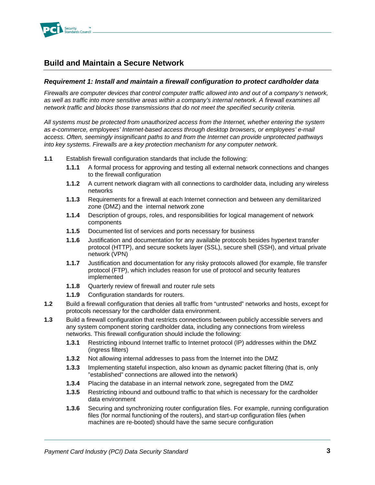

# **Build and Maintain a Secure Network**

## *Requirement 1: Install and maintain a firewall configuration to protect cardholder data*

*Firewalls are computer devices that control computer traffic allowed into and out of a company's network, as well as traffic into more sensitive areas within a company's internal network. A firewall examines all network traffic and blocks those transmissions that do not meet the specified security criteria.* 

*All systems must be protected from unauthorized access from the Internet, whether entering the system as e-commerce, employees' Internet-based access through desktop browsers, or employees' e-mail access. Often, seemingly insignificant paths to and from the Internet can provide unprotected pathways into key systems. Firewalls are a key protection mechanism for any computer network.* 

- **1.1** Establish firewall configuration standards that include the following:
	- **1.1.1** A formal process for approving and testing all external network connections and changes to the firewall configuration
	- **1.1.2** A current network diagram with all connections to cardholder data, including any wireless networks
	- **1.1.3** Requirements for a firewall at each Internet connection and between any demilitarized zone (DMZ) and the internal network zone
	- **1.1.4** Description of groups, roles, and responsibilities for logical management of network components
	- **1.1.5** Documented list of services and ports necessary for business
	- **1.1.6** Justification and documentation for any available protocols besides hypertext transfer protocol (HTTP), and secure sockets layer (SSL), secure shell (SSH), and virtual private network (VPN)
	- **1.1.7** Justification and documentation for any risky protocols allowed (for example, file transfer protocol (FTP), which includes reason for use of protocol and security features implemented
	- **1.1.8** Quarterly review of firewall and router rule sets
	- **1.1.9** Configuration standards for routers.
- **1.2** Build a firewall configuration that denies all traffic from "untrusted" networks and hosts, except for protocols necessary for the cardholder data environment.
- **1.3** Build a firewall configuration that restricts connections between publicly accessible servers and any system component storing cardholder data, including any connections from wireless networks. This firewall configuration should include the following:
	- **1.3.1** Restricting inbound Internet traffic to Internet protocol (IP) addresses within the DMZ (ingress filters)
	- **1.3.2** Not allowing internal addresses to pass from the Internet into the DMZ
	- **1.3.3** Implementing stateful inspection, also known as dynamic packet filtering (that is, only "established" connections are allowed into the network)
	- **1.3.4** Placing the database in an internal network zone, segregated from the DMZ
	- **1.3.5** Restricting inbound and outbound traffic to that which is necessary for the cardholder data environment
	- **1.3.6** Securing and synchronizing router configuration files. For example, running configuration files (for normal functioning of the routers), and start-up configuration files (when machines are re-booted) should have the same secure configuration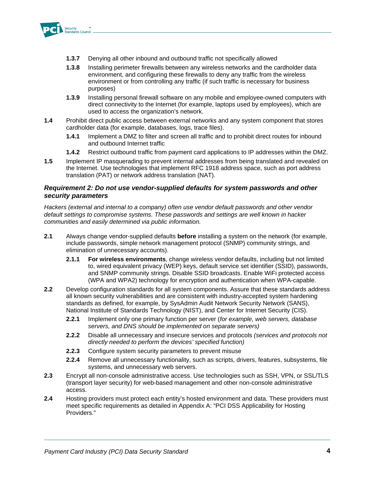

- **1.3.7** Denying all other inbound and outbound traffic not specifically allowed
- **1.3.8** Installing perimeter firewalls between any wireless networks and the cardholder data environment, and configuring these firewalls to deny any traffic from the wireless environment or from controlling any traffic (if such traffic is necessary for business purposes)
- **1.3.9** Installing personal firewall software on any mobile and employee-owned computers with direct connectivity to the Internet (for example, laptops used by employees), which are used to access the organization's network.
- **1.4** Prohibit direct public access between external networks and any system component that stores cardholder data (for example, databases, logs, trace files).
	- **1.4.1** Implement a DMZ to filter and screen all traffic and to prohibit direct routes for inbound and outbound Internet traffic
	- **1.4.2** Restrict outbound traffic from payment card applications to IP addresses within the DMZ.
- **1.5** Implement IP masquerading to prevent internal addresses from being translated and revealed on the Internet. Use technologies that implement RFC 1918 address space, such as port address translation (PAT) or network address translation (NAT).

## *Requirement 2: Do not use vendor-supplied defaults for system passwords and other security parameters*

*Hackers (external and internal to a company) often use vendor default passwords and other vendor default settings to compromise systems. These passwords and settings are well known in hacker communities and easily determined via public information.*

- **2.1** Always change vendor-supplied defaults **before** installing a system on the network (for example, include passwords, simple network management protocol (SNMP) community strings, and elimination of unnecessary accounts).
	- **2.1.1 For wireless environments**, change wireless vendor defaults, including but not limited to, wired equivalent privacy (WEP) keys, default service set identifier (SSID), passwords, and SNMP community strings. Disable SSID broadcasts. Enable WiFi protected access (WPA and WPA2) technology for encryption and authentication when WPA-capable.
- **2.2** Develop configuration standards for all system components. Assure that these standards address all known security vulnerabilities and are consistent with industry-accepted system hardening standards as defined, for example, by SysAdmin Audit Network Security Network (SANS), National Institute of Standards Technology (NIST), and Center for Internet Security (CIS).
	- **2.2.1** Implement only one primary function per server (*for example, web servers, database servers, and DNS should be implemented on separate servers)*
	- **2.2.2** Disable all unnecessary and insecure services and protocols *(services and protocols not directly needed to perform the devices' specified function)*
	- **2.2.3** Configure system security parameters to prevent misuse
	- **2.2.4** Remove all unnecessary functionality, such as scripts, drivers, features, subsystems, file systems, and unnecessary web servers.
- **2.3** Encrypt all non-console administrative access. Use technologies such as SSH, VPN, or SSL/TLS (transport layer security) for web-based management and other non-console administrative access.
- **2.4** Hosting providers must protect each entity's hosted environment and data. These providers must meet specific requirements as detailed in Appendix A: "PCI DSS Applicability for Hosting Providers."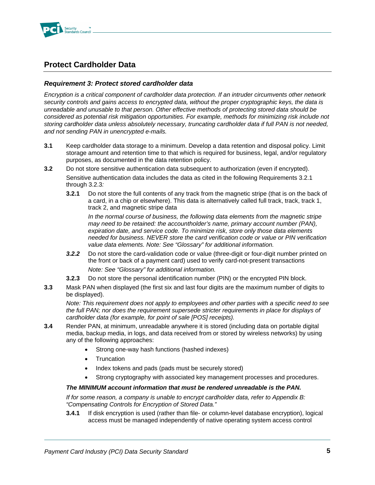

# **Protect Cardholder Data**

## *Requirement 3: Protect stored cardholder data*

*Encryption is a critical component of cardholder data protection. If an intruder circumvents other network security controls and gains access to encrypted data, without the proper cryptographic keys, the data is unreadable and unusable to that person. Other effective methods of protecting stored data should be considered as potential risk mitigation opportunities. For example, methods for minimizing risk include not storing cardholder data unless absolutely necessary, truncating cardholder data if full PAN is not needed, and not sending PAN in unencrypted e-mails.* 

- **3.1** Keep cardholder data storage to a minimum. Develop a data retention and disposal policy. Limit storage amount and retention time to that which is required for business, legal, and/or regulatory purposes, as documented in the data retention policy.
- **3.2** Do not store sensitive authentication data subsequent to authorization (even if encrypted). Sensitive authentication data includes the data as cited in the following Requirements 3.2.1 through 3.2.3*:* 
	- **3.2.1** Do not store the full contents of any track from the magnetic stripe (that is on the back of a card, in a chip or elsewhere). This data is alternatively called full track, track, track 1, track 2, and magnetic stripe data

*In the normal course of business, the following data elements from the magnetic stripe may need to be retained: the accountholder's name, primary account number (PAN), expiration date, and service code. To minimize risk, store only those data elements needed for business. NEVER store the card verification code or value or PIN verification value data elements. Note: See "Glossary" for additional information.*

**3.2.2** Do not store the card-validation code or value (three-digit or four-digit number printed on the front or back of a payment card) used to verify card-not-present transactions

 *Note: See "Glossary" for additional information.* 

- **3.2.3** Do not store the personal identification number (PIN) or the encrypted PIN block.
- **3.3** Mask PAN when displayed (the first six and last four digits are the maximum number of digits to be displayed).

*Note: This requirement does not apply to employees and other parties with a specific need to see the full PAN; nor does the requirement supersede stricter requirements in place for displays of cardholder data (for example, for point of sale [POS] receipts).*

- **3.4** Render PAN, at minimum, unreadable anywhere it is stored (including data on portable digital media, backup media, in logs, and data received from or stored by wireless networks) by using any of the following approaches:
	- Strong one-way hash functions (hashed indexes)
	- **Truncation**
	- Index tokens and pads (pads must be securely stored)
	- Strong cryptography with associated key management processes and procedures.

#### *The MINIMUM account information that must be rendered unreadable is the PAN.*

*If for some reason, a company is unable to encrypt cardholder data, refer to Appendix B: "Compensating Controls for Encryption of Stored Data."*

**3.4.1** If disk encryption is used (rather than file- or column-level database encryption), logical access must be managed independently of native operating system access control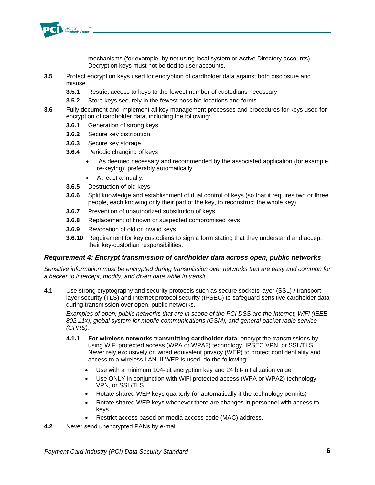

mechanisms (for example, by not using local system or Active Directory accounts). Decryption keys must not be tied to user accounts.

- **3.5** Protect encryption keys used for encryption of cardholder data against both disclosure and misuse.
	- **3.5.1** Restrict access to keys to the fewest number of custodians necessary
	- **3.5.2** Store keys securely in the fewest possible locations and forms.
- **3.6** Fully document and implement all key management processes and procedures for keys used for encryption of cardholder data, including the following:
	- **3.6.1** Generation of strong keys
	- **3.6.2** Secure key distribution
	- **3.6.3** Secure key storage
	- **3.6.4** Periodic changing of keys
		- As deemed necessary and recommended by the associated application (for example, re-keying); preferably automatically
		- At least annually.
	- **3.6.5** Destruction of old keys
	- **3.6.6** Split knowledge and establishment of dual control of keys (so that it requires two or three people, each knowing only their part of the key, to reconstruct the whole key)
	- **3.6.7** Prevention of unauthorized substitution of keys
	- **3.6.8** Replacement of known or suspected compromised keys
	- **3.6.9** Revocation of old or invalid keys
	- **3.6.10** Requirement for key custodians to sign a form stating that they understand and accept their key-custodian responsibilities.

## *Requirement 4: Encrypt transmission of cardholder data across open, public networks*

*Sensitive information must be encrypted during transmission over networks that are easy and common for a hacker to intercept, modify, and divert data while in transit.* 

**4.1** Use strong cryptography and security protocols such as secure sockets layer (SSL) / transport layer security (TLS) and Internet protocol security (IPSEC) to safeguard sensitive cardholder data during transmission over open, public networks.

*Examples of open, public networks that are in scope of the PCI DSS are the Internet, WiFi (IEEE 802.11x), global system for mobile communications (GSM), and general packet radio service (GPRS).*

- **4.1.1 For wireless networks transmitting cardholder data**, encrypt the transmissions by using WiFi protected access (WPA or WPA2) technology, IPSEC VPN, or SSL/TLS. Never rely exclusively on wired equivalent privacy (WEP) to protect confidentiality and access to a wireless LAN. If WEP is used, do the following:
	- Use with a minimum 104-bit encryption key and 24 bit-initialization value
	- Use ONLY in conjunction with WiFi protected access (WPA or WPA2) technology, VPN, or SSL/TLS
	- Rotate shared WEP keys quarterly (or automatically if the technology permits)
	- Rotate shared WEP keys whenever there are changes in personnel with access to keys
	- Restrict access based on media access code (MAC) address.
- **4.2** Never send unencrypted PANs by e-mail.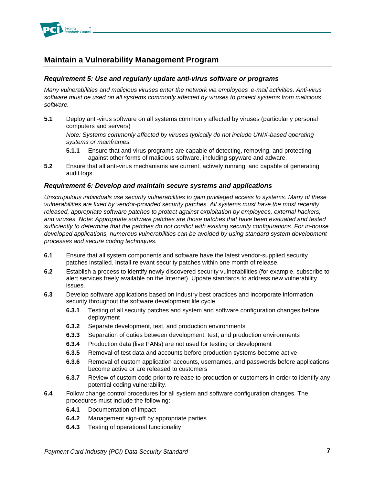

# **Maintain a Vulnerability Management Program**

## *Requirement 5: Use and regularly update anti-virus software or programs*

*Many vulnerabilities and malicious viruses enter the network via employees' e-mail activities. Anti-virus software must be used on all systems commonly affected by viruses to protect systems from malicious software.* 

**5.1** Deploy anti-virus software on all systems commonly affected by viruses (particularly personal computers and servers)

*Note: Systems commonly affected by viruses typically do not include UNIX-based operating systems or mainframes.* 

- **5.1.1** Ensure that anti-virus programs are capable of detecting, removing, and protecting against other forms of malicious software, including spyware and adware.
- **5.2** Ensure that all anti-virus mechanisms are current, actively running, and capable of generating audit logs.

#### *Requirement 6: Develop and maintain secure systems and applications*

*Unscrupulous individuals use security vulnerabilities to gain privileged access to systems. Many of these vulnerabilities are fixed by vendor-provided security patches. All systems must have the most recently released, appropriate software patches to protect against exploitation by employees, external hackers, and viruses. Note: Appropriate software patches are those patches that have been evaluated and tested sufficiently to determine that the patches do not conflict with existing security configurations. For in-house developed applications, numerous vulnerabilities can be avoided by using standard system development processes and secure coding techniques.*

- **6.1** Ensure that all system components and software have the latest vendor-supplied security patches installed. Install relevant security patches within one month of release.
- **6.2** Establish a process to identify newly discovered security vulnerabilities (for example, subscribe to alert services freely available on the Internet). Update standards to address new vulnerability issues.
- **6.3** Develop software applications based on industry best practices and incorporate information security throughout the software development life cycle.
	- **6.3.1** Testing of all security patches and system and software configuration changes before deployment
	- **6.3.2** Separate development, test, and production environments
	- **6.3.3** Separation of duties between development, test, and production environments
	- **6.3.4** Production data (live PANs) are not used for testing or development
	- **6.3.5** Removal of test data and accounts before production systems become active
	- **6.3.6** Removal of custom application accounts, usernames, and passwords before applications become active or are released to customers
	- **6.3.7** Review of custom code prior to release to production or customers in order to identify any potential coding vulnerability.
- **6.4** Follow change control procedures for all system and software configuration changes. The procedures must include the following:
	- **6.4.1** Documentation of impact
	- **6.4.2** Management sign-off by appropriate parties
	- **6.4.3** Testing of operational functionality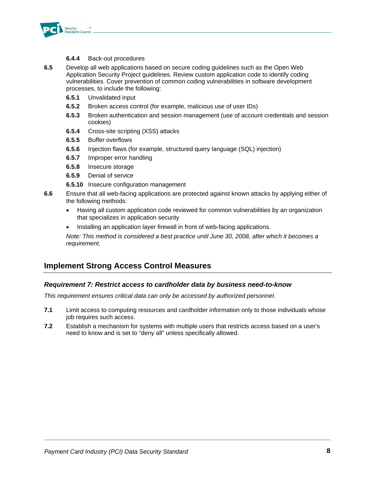

#### **6.4.4** Back-out procedures

- **6.5** Develop all web applications based on secure coding guidelines such as the Open Web Application Security Project guidelines. Review custom application code to identify coding vulnerabilities. Cover prevention of common coding vulnerabilities in software development processes, to include the following:
	- **6.5.1** Unvalidated input
	- **6.5.2** Broken access control (for example, malicious use of user IDs)
	- **6.5.3** Broken authentication and session management (use of account credentials and session cookies)
	- **6.5.4** Cross-site scripting (XSS) attacks
	- **6.5.5** Buffer overflows
	- **6.5.6** Injection flaws (for example, structured query language (SQL) injection)
	- **6.5.7** Improper error handling
	- **6.5.8** Insecure storage
	- **6.5.9** Denial of service
	- **6.5.10** Insecure configuration management
- **6.6** Ensure that all web-facing applications are protected against known attacks by applying either of the following methods:
	- Having all custom application code reviewed for common vulnerabilities by an organization that specializes in application security
	- Installing an application layer firewall in front of web-facing applications.

*Note: This method is considered a best practice until June 30, 2008, after which it becomes a requirement.* 

# **Implement Strong Access Control Measures**

## *Requirement 7: Restrict access to cardholder data by business need-to-know*

*This requirement ensures critical data can only be accessed by authorized personnel.* 

- **7.1** Limit access to computing resources and cardholder information only to those individuals whose job requires such access.
- **7.2** Establish a mechanism for systems with multiple users that restricts access based on a user's need to know and is set to "deny all" unless specifically allowed.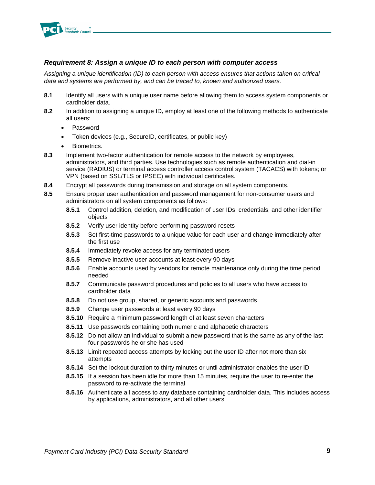

## *Requirement 8: Assign a unique ID to each person with computer access*

*Assigning a unique identification (ID) to each person with access ensures that actions taken on critical data and systems are performed by, and can be traced to, known and authorized users.* 

- **8.1** Identify all users with a unique user name before allowing them to access system components or cardholder data.
- **8.2** In addition to assigning a unique ID**,** employ at least one of the following methods to authenticate all users:
	- Password
	- Token devices (e.g., SecureID, certificates, or public key)
	- Biometrics.
- **8.3** Implement two-factor authentication for remote access to the network by employees, administrators, and third parties. Use technologies such as remote authentication and dial-in service (RADIUS) or terminal access controller access control system (TACACS) with tokens; or VPN (based on SSL/TLS or IPSEC) with individual certificates.
- **8.4** Encrypt all passwords during transmission and storage on all system components.
- **8.5** Ensure proper user authentication and password management for non-consumer users and administrators on all system components as follows:
	- **8.5.1** Control addition, deletion, and modification of user IDs, credentials, and other identifier objects
	- **8.5.2** Verify user identity before performing password resets
	- **8.5.3** Set first-time passwords to a unique value for each user and change immediately after the first use
	- **8.5.4** Immediately revoke access for any terminated users
	- **8.5.5** Remove inactive user accounts at least every 90 days
	- **8.5.6** Enable accounts used by vendors for remote maintenance only during the time period needed
	- **8.5.7** Communicate password procedures and policies to all users who have access to cardholder data
	- **8.5.8** Do not use group, shared, or generic accounts and passwords
	- **8.5.9** Change user passwords at least every 90 days
	- **8.5.10** Require a minimum password length of at least seven characters
	- **8.5.11** Use passwords containing both numeric and alphabetic characters
	- **8.5.12** Do not allow an individual to submit a new password that is the same as any of the last four passwords he or she has used
	- **8.5.13** Limit repeated access attempts by locking out the user ID after not more than six attempts
	- **8.5.14** Set the lockout duration to thirty minutes or until administrator enables the user ID
	- **8.5.15** If a session has been idle for more than 15 minutes, require the user to re-enter the password to re-activate the terminal
	- **8.5.16** Authenticate all access to any database containing cardholder data. This includes access by applications, administrators, and all other users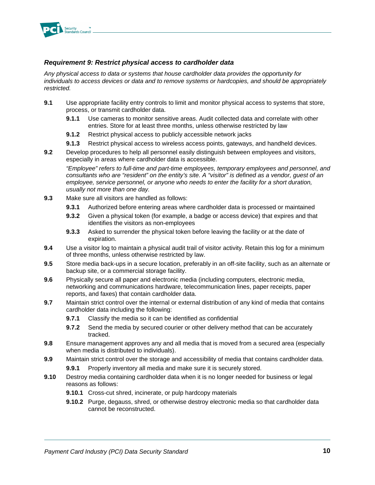

## *Requirement 9: Restrict physical access to cardholder data*

*Any physical access to data or systems that house cardholder data provides the opportunity for individuals to access devices or data and to remove systems or hardcopies, and should be appropriately restricted.* 

- **9.1** Use appropriate facility entry controls to limit and monitor physical access to systems that store, process, or transmit cardholder data.
	- **9.1.1** Use cameras to monitor sensitive areas. Audit collected data and correlate with other entries. Store for at least three months, unless otherwise restricted by law
	- **9.1.2** Restrict physical access to publicly accessible network jacks
	- **9.1.3** Restrict physical access to wireless access points, gateways, and handheld devices.
- **9.2** Develop procedures to help all personnel easily distinguish between employees and visitors, especially in areas where cardholder data is accessible.

*"Employee" refers to full-time and part-time employees, temporary employees and personnel, and consultants who are "resident" on the entity's site. A "visitor" is defined as a vendor, guest of an employee, service personnel, or anyone who needs to enter the facility for a short duration, usually not more than one day.*

- **9.3** Make sure all visitors are handled as follows:
	- **9.3.1** Authorized before entering areas where cardholder data is processed or maintained
	- **9.3.2** Given a physical token (for example, a badge or access device) that expires and that identifies the visitors as non-employees
	- **9.3.3** Asked to surrender the physical token before leaving the facility or at the date of expiration.
- **9.4** Use a visitor log to maintain a physical audit trail of visitor activity. Retain this log for a minimum of three months, unless otherwise restricted by law.
- **9.5** Store media back-ups in a secure location, preferably in an off-site facility, such as an alternate or backup site, or a commercial storage facility.
- **9.6** Physically secure all paper and electronic media (including computers, electronic media, networking and communications hardware, telecommunication lines, paper receipts, paper reports, and faxes) that contain cardholder data.
- **9.7** Maintain strict control over the internal or external distribution of any kind of media that contains cardholder data including the following:
	- **9.7.1** Classify the media so it can be identified as confidential
	- **9.7.2** Send the media by secured courier or other delivery method that can be accurately tracked.
- **9.8** Ensure management approves any and all media that is moved from a secured area (especially when media is distributed to individuals).
- **9.9** Maintain strict control over the storage and accessibility of media that contains cardholder data.
	- **9.9.1** Properly inventory all media and make sure it is securely stored.
- **9.10** Destroy media containing cardholder data when it is no longer needed for business or legal reasons as follows:
	- **9.10.1** Cross-cut shred, incinerate, or pulp hardcopy materials
	- **9.10.2** Purge, degauss, shred, or otherwise destroy electronic media so that cardholder data cannot be reconstructed.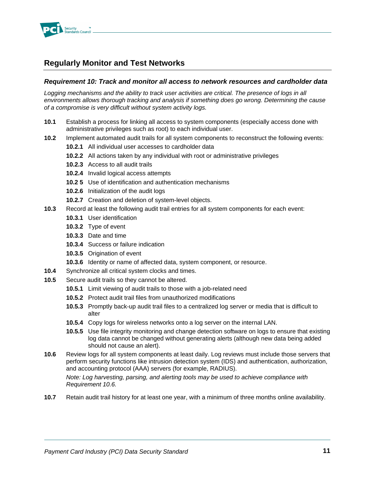

# **Regularly Monitor and Test Networks**

## *Requirement 10: Track and monitor all access to network resources and cardholder data*

Logging mechanisms and the ability to track user activities are critical. The presence of logs in all *environments allows thorough tracking and analysis if something does go wrong. Determining the cause of a compromise is very difficult without system activity logs.* 

- **10.1** Establish a process for linking all access to system components (especially access done with administrative privileges such as root) to each individual user.
- **10.2** Implement automated audit trails for all system components to reconstruct the following events:
	- **10.2.1** All individual user accesses to cardholder data
	- **10.2.2** All actions taken by any individual with root or administrative privileges
	- **10.2.3** Access to all audit trails
	- **10.2.4** Invalid logical access attempts
	- **10.2 5** Use of identification and authentication mechanisms
	- **10.2.6** Initialization of the audit logs
	- **10.2.7** Creation and deletion of system-level objects.
- **10.3** Record at least the following audit trail entries for all system components for each event:
	- **10.3.1** User identification
	- **10.3.2** Type of event
	- **10.3.3** Date and time
	- **10.3.4** Success or failure indication
	- **10.3.5** Origination of event
	- **10.3.6** Identity or name of affected data, system component, or resource.
- **10.4** Synchronize all critical system clocks and times.
- **10.5** Secure audit trails so they cannot be altered.
	- **10.5.1** Limit viewing of audit trails to those with a job-related need
	- **10.5.2** Protect audit trail files from unauthorized modifications
	- **10.5.3** Promptly back-up audit trail files to a centralized log server or media that is difficult to alter
	- **10.5.4** Copy logs for wireless networks onto a log server on the internal LAN.
	- **10.5.5** Use file integrity monitoring and change detection software on logs to ensure that existing log data cannot be changed without generating alerts (although new data being added should not cause an alert).
- **10.6** Review logs for all system components at least daily. Log reviews must include those servers that perform security functions like intrusion detection system (IDS) and authentication, authorization, and accounting protocol (AAA) servers (for example, RADIUS).

*Note: Log harvesting, parsing, and alerting tools may be used to achieve compliance with Requirement 10.6.*

**10.7** Retain audit trail history for at least one year, with a minimum of three months online availability.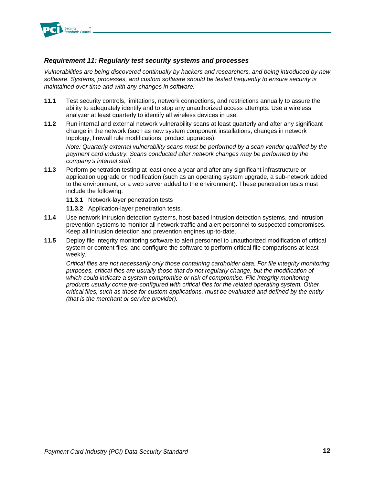

## *Requirement 11: Regularly test security systems and processes*

*Vulnerabilities are being discovered continually by hackers and researchers, and being introduced by new software. Systems, processes, and custom software should be tested frequently to ensure security is maintained over time and with any changes in software.* 

- **11.1** Test security controls, limitations, network connections, and restrictions annually to assure the ability to adequately identify and to stop any unauthorized access attempts. Use a wireless analyzer at least quarterly to identify all wireless devices in use.
- **11.2** Run internal and external network vulnerability scans at least quarterly and after any significant change in the network (such as new system component installations, changes in network topology, firewall rule modifications, product upgrades).

*Note: Quarterly external vulnerability scans must be performed by a scan vendor qualified by the payment card industry. Scans conducted after network changes may be performed by the company's internal staff.* 

- **11.3** Perform penetration testing at least once a year and after any significant infrastructure or application upgrade or modification (such as an operating system upgrade, a sub-network added to the environment, or a web server added to the environment). These penetration tests must include the following:
	- **11.3.1** Network-layer penetration tests
	- **11.3.2** Application-layer penetration tests.
- **11.4** Use network intrusion detection systems, host-based intrusion detection systems, and intrusion prevention systems to monitor all network traffic and alert personnel to suspected compromises. Keep all intrusion detection and prevention engines up-to-date.
- **11.5** Deploy file integrity monitoring software to alert personnel to unauthorized modification of critical system or content files; and configure the software to perform critical file comparisons at least weekly.

*Critical files are not necessarily only those containing cardholder data. For file integrity monitoring purposes, critical files are usually those that do not regularly change, but the modification of which could indicate a system compromise or risk of compromise. File integrity monitoring products usually come pre-configured with critical files for the related operating system. Other critical files, such as those for custom applications, must be evaluated and defined by the entity (that is the merchant or service provider).*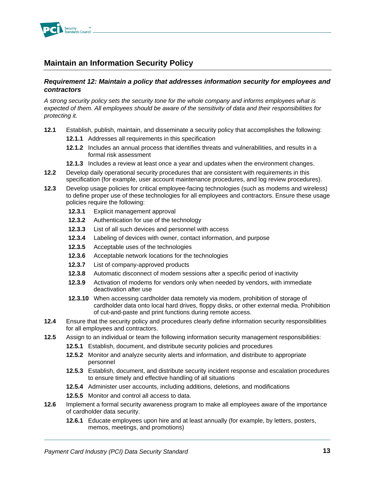

# **Maintain an Information Security Policy**

## *Requirement 12: Maintain a policy that addresses information security for employees and contractors*

*A strong security policy sets the security tone for the whole company and informs employees what is expected of them. All employees should be aware of the sensitivity of data and their responsibilities for protecting it.* 

- **12.1** Establish, publish, maintain, and disseminate a security policy that accomplishes the following:
	- **12.1.1** Addresses all requirements in this specification
	- **12.1.2** Includes an annual process that identifies threats and vulnerabilities, and results in a formal risk assessment
	- **12.1.3** Includes a review at least once a year and updates when the environment changes.
- **12.2** Develop daily operational security procedures that are consistent with requirements in this specification (for example, user account maintenance procedures, and log review procedures).
- **12.3** Develop usage policies for critical employee-facing technologies (such as modems and wireless) to define proper use of these technologies for all employees and contractors. Ensure these usage policies require the following:
	- **12.3.1** Explicit management approval
	- **12.3.2** Authentication for use of the technology
	- **12.3.3** List of all such devices and personnel with access
	- **12.3.4** Labeling of devices with owner, contact information, and purpose
	- **12.3.5** Acceptable uses of the technologies
	- **12.3.6** Acceptable network locations for the technologies
	- **12.3.7** List of company-approved products
	- **12.3.8** Automatic disconnect of modem sessions after a specific period of inactivity
	- **12.3.9** Activation of modems for vendors only when needed by vendors, with immediate deactivation after use
	- **12.3.10** When accessing cardholder data remotely via modem, prohibition of storage of cardholder data onto local hard drives, floppy disks, or other external media. Prohibition of cut-and-paste and print functions during remote access.
- **12.4** Ensure that the security policy and procedures clearly define information security responsibilities for all employees and contractors.
- **12.5** Assign to an individual or team the following information security management responsibilities:
	- **12.5.1** Establish, document, and distribute security policies and procedures
	- **12.5.2** Monitor and analyze security alerts and information, and distribute to appropriate personnel
	- **12.5.3** Establish, document, and distribute security incident response and escalation procedures to ensure timely and effective handling of all situations
	- **12.5.4** Administer user accounts, including additions, deletions, and modifications
	- **12.5.5** Monitor and control all access to data.
- **12.6** Implement a formal security awareness program to make all employees aware of the importance of cardholder data security.
	- **12.6.1** Educate employees upon hire and at least annually (for example, by letters, posters, memos, meetings, and promotions)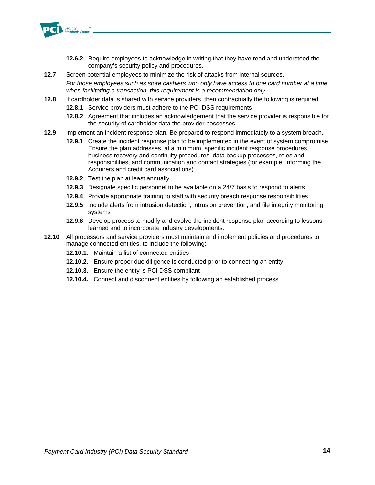

- **12.6.2** Require employees to acknowledge in writing that they have read and understood the company's security policy and procedures.
- **12.7** Screen potential employees to minimize the risk of attacks from internal sources. *For those employees such as store cashiers who only have access to one card number at a time when facilitating a transaction, this requirement is a recommendation only.*
- **12.8** If cardholder data is shared with service providers, then contractually the following is required:
	- **12.8.1** Service providers must adhere to the PCI DSS requirements
		- **12.8.2** Agreement that includes an acknowledgement that the service provider is responsible for the security of cardholder data the provider possesses.
- **12.9** Implement an incident response plan. Be prepared to respond immediately to a system breach.
	- **12.9.1** Create the incident response plan to be implemented in the event of system compromise. Ensure the plan addresses, at a minimum, specific incident response procedures, business recovery and continuity procedures, data backup processes, roles and responsibilities, and communication and contact strategies (for example, informing the Acquirers and credit card associations)
	- **12.9.2** Test the plan at least annually
	- **12.9.3** Designate specific personnel to be available on a 24/7 basis to respond to alerts
	- **12.9.4** Provide appropriate training to staff with security breach response responsibilities
	- **12.9.5** Include alerts from intrusion detection, intrusion prevention, and file integrity monitoring systems
	- **12.9.6** Develop process to modify and evolve the incident response plan according to lessons learned and to incorporate industry developments.
- **12.10** All processors and service providers must maintain and implement policies and procedures to manage connected entities, to include the following:
	- **12.10.1.** Maintain a list of connected entities
	- **12.10.2.** Ensure proper due diligence is conducted prior to connecting an entity
	- **12.10.3.** Ensure the entity is PCI DSS compliant
	- **12.10.4.** Connect and disconnect entities by following an established process.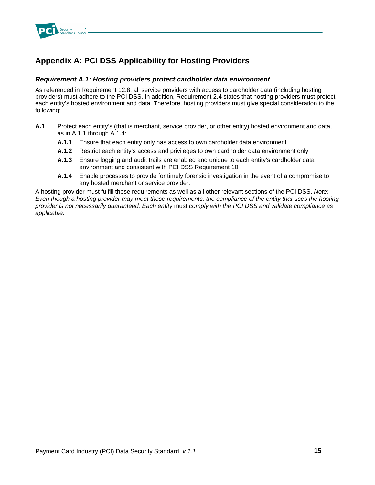

# **Appendix A: PCI DSS Applicability for Hosting Providers**

## *Requirement A.1: Hosting providers protect cardholder data environment*

As referenced in Requirement 12.8, all service providers with access to cardholder data (including hosting providers) must adhere to the PCI DSS. In addition, Requirement 2.4 states that hosting providers must protect each entity's hosted environment and data. Therefore, hosting providers must give special consideration to the following:

- **A.1** Protect each entity's (that is merchant, service provider, or other entity) hosted environment and data, as in A.1.1 through A.1.4:
	- **A.1.1** Ensure that each entity only has access to own cardholder data environment
	- **A.1.2** Restrict each entity's access and privileges to own cardholder data environment only
	- **A.1.3** Ensure logging and audit trails are enabled and unique to each entity's cardholder data environment and consistent with PCI DSS Requirement 10
	- **A.1.4** Enable processes to provide for timely forensic investigation in the event of a compromise to any hosted merchant or service provider.

A hosting provider must fulfill these requirements as well as all other relevant sections of the PCI DSS. *Note: Even though a hosting provider may meet these requirements, the compliance of the entity that uses the hosting provider is not necessarily guaranteed. Each entity* must *comply with the PCI DSS and validate compliance as applicable.*